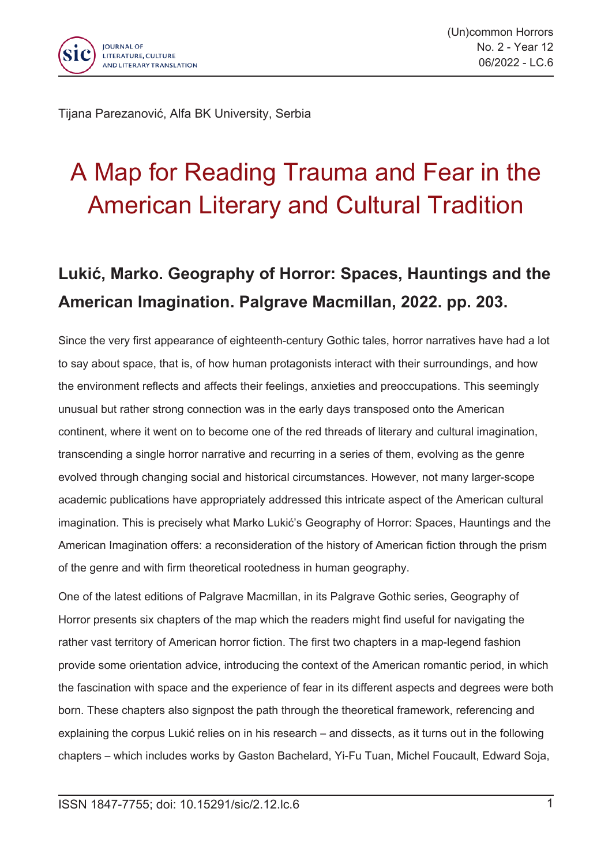

Tijana Parezanović, Alfa BK University, Serbia

## A Map for Reading Trauma and Fear in the American Literary and Cultural Tradition

## **Lukić, Marko. Geography of Horror: Spaces, Hauntings and the American Imagination. Palgrave Macmillan, 2022. pp. 203.**

Since the very first appearance of eighteenth-century Gothic tales, horror narratives have had <sup>a</sup> lot to say about space, that is, of how human protagonists interact with their surroundings, and how the environment reflects and affects their feelings, anxieties and preoccupations. This seemingly unusual but rather strong connection was in the early days transposed onto the American continent, where it went on to become one of the red threads of literary and cultural imagination, transcending <sup>a</sup> single horror narrative and recurring in <sup>a</sup> series of them, evolving as the genre evolved through changing social and historical circumstances. However, not many larger-scope academic publications have appropriately addressed this intricate aspect of the American cultural imagination. This is precisely what Marko Lukić's Geography of Horror: Spaces, Hauntings and the American Imagination offers: <sup>a</sup> reconsideration of the history of American fiction through the prism of the genre and with firm theoretical rootedness in human geography.

One of the latest editions of Palgrave Macmillan, in its Palgrave Gothic series, Geography of Horror presents six chapters of the map which the readers might find useful for navigating the rather vast territory of American horror fiction. The first two chapters in <sup>a</sup> map-legend fashion provide some orientation advice, introducing the context of the American romantic period, in which the fascination with space and the experience of fear in its different aspects and degrees were both born. These chapters also signpost the path through the theoretical framework, referencing and explaining the corpus Lukić relies on in his research – and dissects, as it turns out in the following chapters – which includes works by Gaston Bachelard, Yi-Fu Tuan, Michel Foucault, Edward Soja,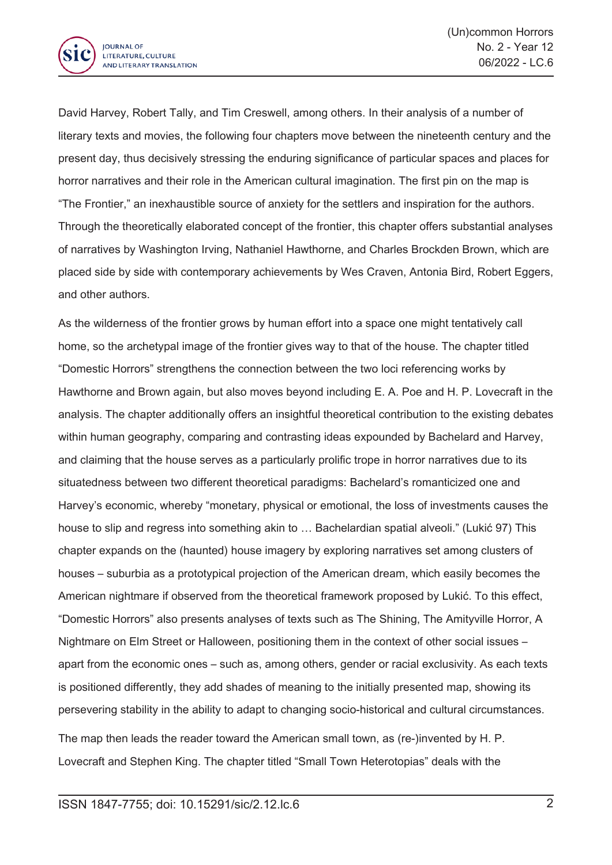

David Harvey, Robert Tally, and Tim Creswell, among others. In their analysis of <sup>a</sup> number of literary texts and movies, the following four chapters move between the nineteenth century and the present day, thus decisively stressing the enduring significance of particular spaces and places for horror narratives and their role in the American cultural imagination. The first pin on the map is "The Frontier," an inexhaustible source of anxiety for the settlers and inspiration for the authors. Through the theoretically elaborated concept of the frontier, this chapter offers substantial analyses of narratives by Washington Irving, Nathaniel Hawthorne, and Charles Brockden Brown, which are placed side by side with contemporary achievements by Wes Craven, Antonia Bird, Robert Eggers, and other authors.

As the wilderness of the frontier grows by human effort into <sup>a</sup> space one might tentatively call home, so the archetypal image of the frontier gives way to that of the house. The chapter titled "Domestic Horrors" strengthens the connection between the two loci referencing works by Hawthorne and Brown again, but also moves beyond including E. A. Poe and H. P. Lovecraft in the analysis. The chapter additionally offers an insightful theoretical contribution to the existing debates within human geography, comparing and contrasting ideas expounded by Bachelard and Harvey, and claiming that the house serves as <sup>a</sup> particularly prolific trope in horror narratives due to its situatedness between two different theoretical paradigms: Bachelard's romanticized one and Harvey's economic, whereby "monetary, physical or emotional, the loss of investments causes the house to slip and regress into something akin to ... Bachelardian spatial alveoli." (Lukić 97) This chapter expands on the (haunted) house imagery by exploring narratives set among clusters of houses – suburbia as <sup>a</sup> prototypical projection of the American dream, which easily becomes the American nightmare if observed from the theoretical framework proposed by Lukić. To this effect, "Domestic Horrors" also presents analyses of texts such as The Shining, The Amityville Horror, A Nightmare on Elm Street or Halloween, positioning them in the context of other social issues – apart from the economic ones – such as, among others, gender or racial exclusivity. As each texts is positioned differently, they add shades of meaning to the initially presented map, showing its persevering stability in the ability to adapt to changing socio-historical and cultural circumstances. The map then leads the reader toward the American small town, as (re-)invented by H. P. Lovecraft and Stephen King. The chapter titled "Small Town Heterotopias" deals with the